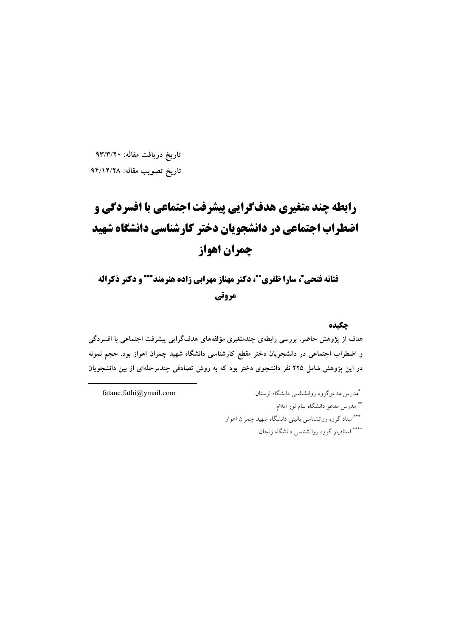تاریخ دریافت مقاله: ۹۳/۳/۲۰ تاريخ تصويب مقاله: ٩۴/١٢/٢٨

# رابطه چند متغیری هدفگرایی پیشرفت اجتماعی با افسردگی و اضطراب اجتماعی در دانشجویان دختر کارشناسی دانشگاه شهید جمران اهواز

فتانه فتحی\*، سارا ظفری\*\*، دکتر مهناز مهرابی زاده هنرمند\*\*\* و دکتر ذکراله مروتي

چکیده

هدف از پژوهش حاضر، بررسی رابطهی چندمتغیری مؤلفههای هدفگرایی پیشرفت اجتماعی با افسردگی و اضطراب اجتماعی در دانشجویان دختر مقطع کارشناسی دانشگاه شهید چمران اهواز بود. حجم نمونه در این یژوهش شامل ۲۲۵ نفر دانشجوی دختر بود که به روش تصادفی چندمرحلهای از بین دانشجویان

fatane.fathi@ymail.com

\*مدرس مدعوگروه روانشناسی دانشگاه لرستان \*\* مدرس مدعو دانشگاه پیام نور ایلام \*\*\*استاد گروه روانشناسی بالینی دانشگاه شهید چمران اهواز \*\*\*\* استادیار گروه روانشناسی دانشگاه زنجان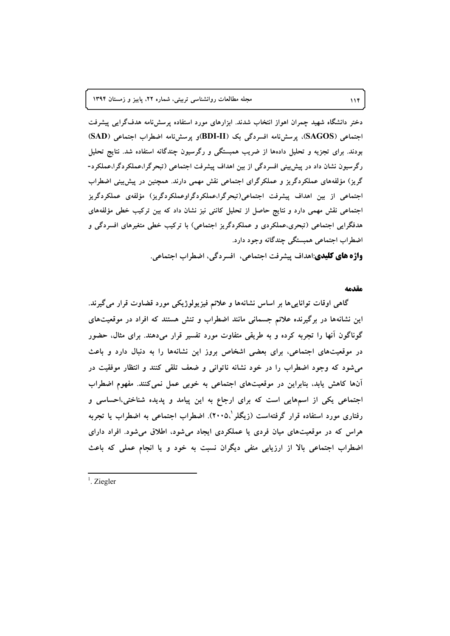دختر دانشگاه شهید چمران اهواز انتخاب شدند. ابزارهای مورد استفاده پرسش نامه هدف گرایی پیشرفت اجتماعی (SAGOS)، پرسشنامه افسردگی یک (BDI-II)و پرسشنامه اضطراب اجتماعی (SAD) بودند. برای تجزیه و تحلیل دادهها از ضریب همبستگی و رگرسیون چندگانه استفاده شد. نتایج تحلیل رگرسیون نشان داد در پیش بینی افسردگی از بین اهداف پیشرفت اجتماعی (تبحرگرا،عملکردگرا،عملکرد-گریز) مؤلفههای عملکردگریز و عملکرگرای اجتماعی نقش مهمی دارند. همچنین در پیش بینی اضطراب اجتماعی از بین اهداف پیشرفت اجتماعی(تبحرگرا،عملکردگراوعملکردگریز) مؤلفهی عملکردگریز اجتماعی نقش مهمی دارد و نتایج حاصل از تحلیل کاننی نیز نشان داد که بین ترکیب خطی مؤلفههای هدفگرایی اجتماعی (تبحری،عملکردی و عملکردگریز اجتماعی) با ترکیب خطی متغیرهای افسردگی و اضطراب اجتماعی همبستگی چندگانه وجود دارد.

**واژه های کلیدی**:اهداف پیشرفت اجتماعی، افسر دگی، اضطراب اجتماعی.

#### مقدمه

گاهی اوقات تواناییها بر اساس نشانهها و علائم فیزیولوژیکی مورد قضاوت قرار می گیرند. این نشانهها در برگیرنده علائم جسمانی مانند اضطراب و تنش هستند که افراد در موقعیتهای گوناگون آنها را تجربه کرده و به طریقی متفاوت مورد تفسیر قرار میدهند. برای مثال، حضور در موقعیتهای اجتماعی، برای بعضی اشخاص بروز این نشانهها را به دنبال دارد و باعث می شود که وجود اضطراب را در خود نشانه ناتوانی و ضعف تلقی کنند و انتظار موفقیت در آنها کاهش پابد، بنابراین در موقعیتهای اجتماعی به خوبی عمل نمی کنند. مفهوم اضطراب اجتماعی یکی از اسمهایی است که برای ارجاع به این پیامد و پدیده شناختی،احساسی و رفتاری مورد استفاده قرار گرفتهاست (زیگلر '،۲۰۰۵). اضطراب اجتماعی به اضطراب یا تجربه هراس که در موقعیتهای میان فردی یا عملکردی ایجاد میشود، اطلاق میشود. افراد دارای اضطراب اجتماعی بالا از ارزیابی منفی دیگران نسبت به خود و یا انجام عملی که باعث

 $<sup>1</sup>$ . Ziegler</sup>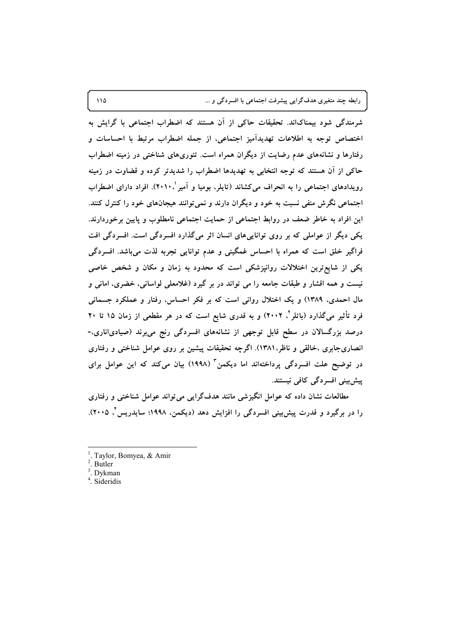رابطه چند متغیری هدفگرایی پیشرفت اجتماعی با افسردگی و ...

شرمندگی شود بیمناکاند. تحقیقات حاکی از آن هستند که اضطراب اجتماعی با گرایش به اختصاص توجه به اطلاعات تهديداًميز اجتماعي، از جمله اضطراب مرتبط با احساسات و رفتارها و نشانههای عدم رضایت از دیگران همراه است. تئوریهای شناختی در زمینه اضطراب حاکی از آن هستند که توجه انتخابی به تهدیدها اضطراب را شدیدتر کرده و قضاوت در زمینه رویدادهای اجتماعی را به انحراف می کشاند (تاپلر، بومیا و آمیر ۲۰۱۰). افراد دارای اضطراب اجتماعی نگرش منفی نسبت به خود و دیگران دارند و نمی توانند هیجانهای خود را کنترل کنند. این افراد به خاطر ضعف در روابط اجتماعی از حمایت اجتماعی نامطلوب و پایین برخوردارند. یکی دیگر از عواملی که بر روی تواناییهای انسان اثر میگذارد افسردگی است. افسردگی افت فراگیر خلق است که همراه با احساس غمگینی و عدم توانایی تجربه لذت میباشد. افسردگی یکی از شایع ترین اختلالات روانپزشکی است که محدود به زمان و مکان و شخص خاصی نیست و همه اقشار و طبقات جامعه را می تواند در بر گیرد (غلامعلی لواسانی، خضری، امانی و مال احمدی، ۱۳۸۹) و یک اختلال روانی است که بر فکر احساس، رفتار و عملکرد جسمانی فرد تأثیر میگذارد (باتلر<sup>ت</sup>، ۲۰۰۲) و به قدری شایع است که در هر مقطعی از زمان ۱۵ تا ۲۰ درصد بزرگسالان در سطح قابل توجهی از نشانههای افسردگی رنج میبرند (صیادی|ناری،-انصاریجابری ،خالقی و ناظر،۱۳۸۱). اگرچه تحقیقات پیشین بر روی عوامل شناختی و رفتاری در توضیح علت افسردگی پرداختهاند اما دیکمن<sup>۳</sup> (۱۹۹۸) بیان میکند که این عوامل برای پیش بینی افسر دگی کافی نیستند.

مطالعات نشان داده که عوامل انگیزشی مانند هدفگرایی می تواند عوامل شناختی و رفتاری را در برگیرد و قدرت پیش بینی افسردگی را افزایش دهد (دیکمن، ۱۹۹۸؛ سایدریس ٌ، ۲۰۰۵).

- Taylor, Bomyea, & Amir
- Butler
- Dykman
- $4.$  Sideridis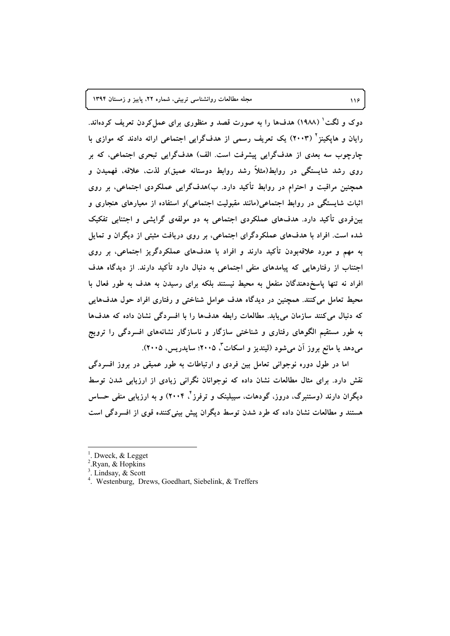دوک و لگت ٔ (۱۹۸۸) هدفها را به صورت قصد و منظوری برای عمل کردن تعریف کردهاند. رایان و هایکینز<sup>۲</sup> (۲۰۰۳) یک تعریف رسمی از هدفگرایی اجتماعی ارائه دادند که موازی با چارچوب سه بعدی از هدفگرایی پیشرفت است. الف) هدفگرایی تبحری اجتماعی، که بر روی رشد شایستگی در روابط(مثلاً رشد روابط دوستانه عمیق)و لذت، علاقه، فهمیدن و همچنین مراقبت و احترام در روابط تأکید دارد. ب)هدفگرایی عملکردی اجتماعی، بر روی اثبات شایستگی در روابط اجتماعی(مانند مقبولیت اجتماعی)و استفاده از معیارهای هنجاری و بین فردی تأکید دارد. هدفهای عملکردی اجتماعی به دو مولفهی گرایشی و اجتنابی تفکیک شده است. افراد با هدفهای عملکردگرای اجتماعی، بر روی دریافت مثبتی از دیگران و تمایل به مهم و مورد علاقهبودن تأکید دارند و افراد با هدفهای عملکردگریز اجتماعی، بر روی اجتناب از رفتارهایی که پیامدهای منفی اجتماعی به دنبال دارد تأکید دارند. از دیدگاه هدف افراد نه تنها پاسخ دهندگان منفعل به محیط نیستند بلکه برای رسیدن به هدف به طور فعال با محیط تعامل می کنند. همچنین در دیدگاه هدف عوامل شناختی و رفتاری افراد حول هدفهایی که دنبال میکنند سازمان مییابد. مطالعات رابطه هدفها را با افسردگی نشان داده که هدفها به طور مستقیم الگوهای رفتاری و شناختی سازگار و ناسازگار نشانههای افسردگی را ترویج میدهد یا مانع بروز آن میشود (لیندیز و اسکات ٌ ۲۰۰۵؛ سایدریس، ۲۰۰۵).

اما در طول دوره نوجوانی تعامل بین فردی و ارتباطات به طور عمیقی در بروز افسردگی نقش دارد. برای مثال مطالعات نشان داده که نوجوانان نگرانی زیادی از ارزیابی شدن توسط دیگران دارند (وستنبرگ، دروز، گودهات، سیبلینک و ترفرز<sup>۴</sup>، ۲۰۰۴) و به ارزیابی منفی حساس هستند و مطالعات نشان داده که طرد شدن توسط دیگران پیش بینی کننده قوی از افسردگی است

<sup>.</sup> Dweck, & Legget

<sup>&</sup>lt;sup>2</sup>.Ryan, & Hopkins

 $3$ . Lindsay, & Scott

<sup>&</sup>lt;sup>4</sup>. Westenburg, Drews, Goedhart, Siebelink, & Treffers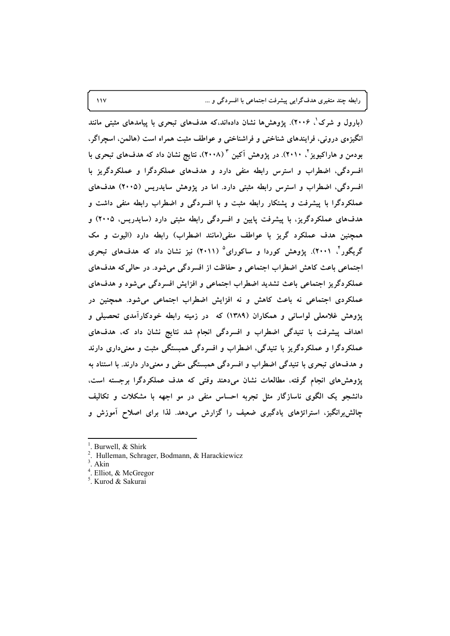رابطه چند متغیری هدفگرایی پیشرفت اجتماعی با افسردگی و ...

(بارول و شرک ْ، ۲۰۰۶). یژوهش۵ا نشان دادهاند،که هدفهای تبحری با پیامدهای مثبتی مانند انگیزهی درونی، فرایندهای شناختی و فراشناختی و عواطف مثبت همراه است (هالمن، اسچراگر، بودمن و هاراکیویز<sup>۲</sup> ۲۰۱۰). در پژوهش اَکین <sup>۳</sup> (۲۰۰۸)، نتایج نشان داد که هدفهای تبحری با افسردگی، اضطراب و استرس رابطه منفی دارد و هدفهای عملکردگرا و عملکردگریز با افسردگی، اضطراب و استرس رابطه مثبتی دارد. اما در یژوهش سایدریس (۲۰۰۵) هدفهای عملکردگرا با پیشرفت و پشتکار رابطه مثبت و با افسردگی و اضطراب رابطه منفی داشت و هدفهای عملکردگریز، با پیشرفت پایین و افسردگی رابطه مثبتی دارد (سایدریس، ۲۰۰۵) و همچنین هدف عملکرد گریز با عواطف منفی(مانند اضطراب) رابطه دارد (الیوت و مک گریگور<sup>۲</sup>، ۲۰۰۱). پژوهش کوردا و ساکورای<sup>۵</sup> (۲۰۱۱) نیز نشان داد که هدفهای تبحری اجتماعی باعث کاهش اضطراب اجتماعی و حفاظت از افسردگی می شود. در حالی که هدفهای عملکردگریز اجتماعی باعث تشدید اضطراب اجتماعی و افزایش افسردگی میشود و هدفهای عملکردی اجتماعی نه باعث کاهش و نه افزایش اضطراب اجتماعی می شود. همچنین در پژوهش غلامعلی لواسانی و همکاران (۱۳۸۹) که در زمینه رابطه خودکارآمدی تحصیلی و اهداف پیشرفت با تنیدگی اضطراب و افسردگی انجام شد نتایج نشان داد که، هدفهای عملکردگرا و عملکردگریز با تنیدگی، اضطراب و افسردگی همبستگی مثبت و معنیداری دارند و هدفهای تبحری با تنیدگی اضطراب و افسردگی همبستگی منفی و معنیدار دارند. با استناد به یژوهشهای انجام گرفته، مطالعات نشان میدهند وقتی که هدف عملکردگرا برجسته است، دانشجو یک الگوی ناسازگار مثل تجربه احساس منفی در مو اجهه با مشکلات و تکالیف چالش برانگیز، استراتژهای یادگیری ضعیف را گزارش میدهد. لذا برای اصلاح آموزش و

 $\sqrt{V}$ 

Burwell, & Shirk

Hulleman, Schrager, Bodmann, & Harackiewicz

Akin

Elliot, & McGregor

 $^5$ . Kurod & Sakurai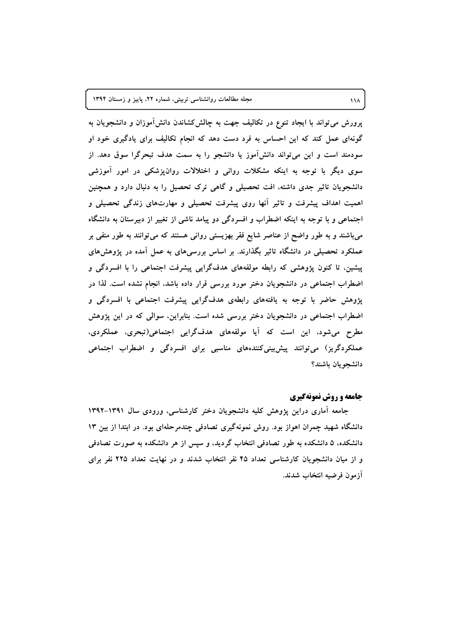پرورش میتواند با ایجاد تنوع در تکالیف جهت به چالش کشاندن دانش[موزان و دانشجویان به گونهای عمل کند که این احساس به فرد دست دهد که انجام تکالیف برای یادگیری خود او سودمند است و این می تواند دانشآموز یا دانشجو را به سمت هدف تبحرگرا سوق دهد. از سوی دیگر با توجه به اینکه مشکلات روانی و اختلالات روانپزشکی در امور آموزشی دانشجویان تاثیر جدی داشته، افت تحصیلی و گاهی ترک تحصیل را به دنبال دارد و همچنین اهمیت اهداف پیشرفت و تاثیر أنها روی پیشرفت تحصیلی و مهارتهای زندگی تحصیلی و اجتماعی و با توجه به اینکه اضطراب و افسردگی دو پیامد ناشی از تغییر از دبیرستان به دانشگاه میباشند و به طور واضح از عناصر شایع فقر بهزیستی روانی هستند که می توانند به طور منفی بر عملکرد تحصیلی در دانشگاه تاثیر بگذارند. بر اساس بررسی۵ای به عمل اَمده در پژوهشهای پیشین، تا کنون پژوهشی که رابطه مولفههای هدفگرایی پیشرفت اجتماعی را با افسردگی و اضطراب اجتماعی در دانشجویان دختر مورد بررسی قرار داده باشد، انجام نشده است. لذا در پژوهش حاضر با توجه به یافتههای رابطهی هدفگرایی پیشرفت اجتماعی با افسردگی و اضطراب اجتماعی در دانشجویان دختر بررسی شده است. بنابراین، سوالی که در این پژوهش مطرح میشود، این است که آیا مولفههای هدفگرایی اجتماعی(تبحری، عملکردی، عملکردگریز) میتوانند پیشبینیکنندههای مناسبی برای افسردگی و اضطراب اجتماعی دانشجويان باشند؟

#### جامعه و روش نمونهگیری

جامعه آماری دراین پژوهش کلیه دانشجویان دختر کارشناسی، ورودی سال ۱۳۹۱-۱۳۹۲ دانشگاه شهید چمران اهواز بود. روش نمونهگیری تصادفی چندمرحلهای بود. در ابتدا از بین ۱۳ دانشکده، ۵ دانشکده به طور تصادفی انتخاب گردید، و سپس از هر دانشکده به صورت تصادفی و از میان دانشجویان کارشناسی تعداد ۴۵ نفر انتخاب شدند و در نهایت تعداد ۲۲۵ نفر برای آزمون فرضيه انتخاب شدند.

 $11<sub>A</sub>$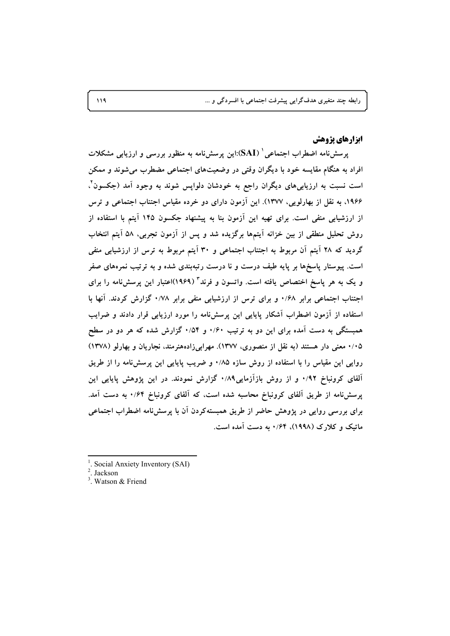## **ایزارهای پژوهش**

یرمیش نامه اضطراب اجتماعی ` (SAI):این پرسش نامه به منظور بررسی و ارزیابی مشکلات افراد به هنگام مقایسه خود با دیگران وقتی در وضعیتهای اجتماعی مضطرب می شوند و ممکن است نسبت به ارزیابیهای دیگران راجع به خودشان دلوایس شوند به وجود آمد (جکسون ٌ، ۱۹۶۶، به نقل از بهارلویی، ۱۳۷۷). این آزمون دارای دو خرده مقیاس اجتناب اجتماعی و ترس از ارزشیابی منفی است. برای تهیه این آزمون بنا به پیشنهاد جکسون ۱۴۵ آیتم با استفاده از روش تحلیل منطقی از بین خزانه آیتمها برگزیده شد و پس از آزمون تجربی، ۵۸ آیتم انتخاب گردید که ۲۸ آیتم آن مربوط به اجتناب اجتماعی و ۳۰ آیتم مربوط به ترس از ارزشیابی منفی است. پیوستار پاسخها بر پایه طیف درست و نا درست رتبهبندی شده و به ترتیب نمرههای صفر و یک به هر یاسخ اختصاص یافته است. واتسون و فرند<sup>۲</sup> (۱۹۶۹)اعتبار این پرسشiامه را برای اجتناب اجتماعی برابر ۰/۶۸ و برای ترس از ارزشیابی منفی برابر ۰/۷۸ گزارش کردند. آنها با استفاده از آزمون اضطراب آشکار پایایی این پرسشنامه را مورد ارزیابی قرار دادند و ضرایب همبستگی به دست آمده برای این دو به ترتیب ۰/۶۰ و ۰/۵۴ گزارش شده که هر دو در سطح ۰/۰۵ معنی دار هستند (به نقل از منصوری، ۱۳۷۷). مهرابیزادههنرمند، نجاریان و بهارلو (۱۳۷۸) روایی این مقیاس را با استفاده از روش سازه ۰/۸۵ و ضریب پایایی این پرسش،نامه را از طریق آلفای کرونباخ ۰/۹۲ و از روش بازآزمایی۰/۸۹ گزارش نمودند. در این پژوهش پایایی این پرسشنامه از طریق آلفای کرونباخ محاسبه شده است، که آلفای کرونباخ ۰/۶۴ به دست آمد. برای بررسی روایی در پژوهش حاضر از طریق همبستهکردن آن با پرسشنامه اضطراب اجتماعی ماتیک و کلارک (۱۹۹۸)، ۰/۶۴ به دست آمده است.

- Social Anxiety Inventory (SAI)
- Jackson
- <sup>3</sup> Watson & Friend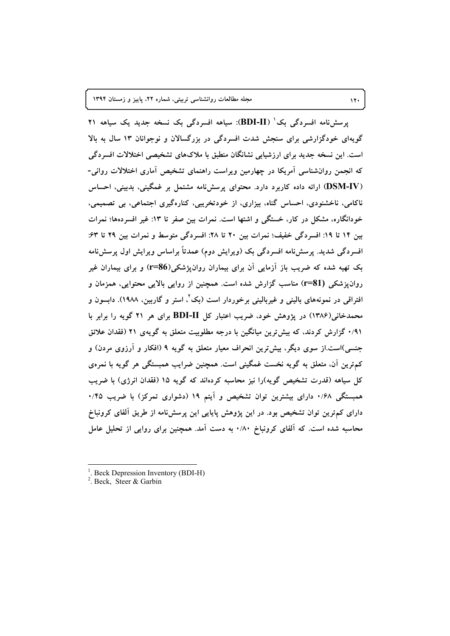یر سش نامه افسردگی بک ( BDI-II): سیاهه افسردگی بک نسخه جدید یک سیاهه ۲۱ گویهای خودگزارشی برای سنجش شدت افسردگی در بزرگسالان و نوجوانان ۱۳ سال به بالا است. این نسخه جدید برای ارزشیابی نشانگان منطبق با ملاکهای تشخیصی اختلالات افسردگی که انجمن روانشناسی آمریکا در چهارمین ویراست راهنمای تشخیص آماری اختلالات روانی-(DSM-IV) ارائه داده کاربرد دارد. محتوای پرسشنامه مشتمل بر غمگینی، بدبینی، احساس ناکامی، ناخشنودی، احساس گناه، بیزاری، از خودتخریبی، کنارهگیری اجتماعی، بی تصمیمی، خودانگاره، مشکل در کار، خستگی و اشتها است. نمرات بین صفر تا ۱۳: غیر افسردهها؛ نمرات بین ١٤ تا ١٩: افسردگی خفیف؛ نمرات بین ٢٠ تا ٢٨: افسردگی متوسط و نمرات بین ٢٩ تا ۶٣: افسردگی شدید. پرسشiامه افسردگی بک (ویرایش دوم) عمدتاً براساس ویرایش اول پرسشiامه بک تهیه شده که ضریب باز آزمایی آن برای بیماران روانپژشکی(86=r) و برای بیماران غیر روان یز شکم <sub>،</sub> (r=81) مناسب گزارش شده است. همچنین از روایی بالایی محتوایی، همزمان و افتراقی در نمونههای بالینی و غیربالینی برخوردار است (بک'، استر و گاربین، ۱۹۸۸). دابسون و محمدخانی(۱۳۸۶) در پژوهش خود، ضریب اعتبار کل BDI-II برای هر ۲۱ گویه را برابر با ۰/۹۱ گزارش کردند، که بیش ترین میانگین با درجه مطلوبیت متعلق به گویهی ۲۱ (فقدان علائق جنسی)است.از سوی دیگر، بیشترین انحراف معیار متعلق به گویه ۹ (افکار و آرزوی مردن) و کمترین آن، متعلق به گویه نخست غمگینی است. همچنین ضرایب همبستگی هر گویه با نمرهی کل سیاهه (قدرت تشخیص گویه)را نیز محاسبه کردهاند که گویه ۱۵ (فقدان انرژی) با ضریب همبستگی ۰/۶۸ دارای بیشترین توان تشخیص و آیتم ۱۹ (دشواری تمرکز) با ضریب ۰/۴۵ دارای کم ترین توان تشخیص بود. در این پژوهش پاپایی این پرسشنامه از طریق آلفای کرونباخ محاسبه شده است. که آلفای کرونباخ ۰/۸۰ به دست آمد. همچنین برای روایی از تحلیل عامل

 $17.$ 

Beck Depression Inventory (BDI-H)

<sup>&</sup>lt;sup>2</sup>. Beck, Steer & Garbin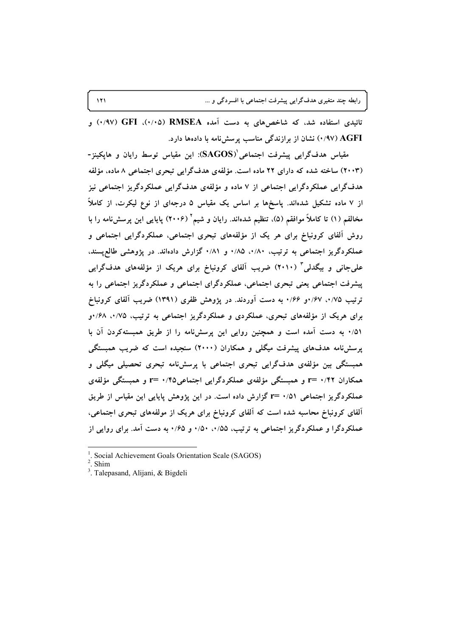تائیدی استفاده شد، که شاخصهای به دست آمده RMSEA (۰/۰۵)، GFI) (۰/۹۷) و 4V) AGFI) نشان از برازندگی مناسب پرسش نامه با دادهها دارد.

مقیاس هدفگرایی پیشرفت اجتماعی ${\rm (SAGOS)}$ : این مقیاس توسط رایان و هاپکینز-(۲۰۰۳) ساخته شده که دارای ۲۲ ماده است. مؤلفهی هدفگرایی تبحری اجتماعی ۸ ماده، مؤلفه هدفگرایی عملکردگرایی اجتماعی از ۷ ماده و مؤلفهی هدفگرایی عملکردگریز اجتماعی نیز از ۷ ماده تشکیل شدهاند. پاسخها بر اساس یک مقیاس ۵ درجهای از نوع لیکرت، از کاملاً مخالفم (١) تا كاملاً موافقم (۵). تنظيم شدهاند. رايان و شيم ` (٢٠٠۶) ياپايي اين پرسشنامه را با روش آلفای کرونباخ برای هر یک از مؤلفههای تبحری اجتماعی، عملکردگرایی اجتماعی و عملکردگریز اجتماعی به ترتیب، ۰/۸۰، ۰/۸۵ و ۰/۸۱ گزارش دادهاند. در پژوهشی طالعپسند، علی جانی و بیگدلی ۳ (۲۰۱۰) ضریب آلفای کرونباخ برای هریک از مؤلفههای هدف گرایی پیشرفت اجتماعی یعنی تبحری اجتماعی، عملکردگرای اجتماعی و عملکردگریز اجتماعی را به ترتیب ۰/۷۵، ۱/۶۷و ۰/۶۶ به دست آوردند. در پژوهش ظفری (۱۳۹۱) ضریب آلفای کرونباخ برای هریک از مؤلفههای تبحری، عملکردی و عملکردگریز اجتماعی به ترتیب، ۰/۷۵. ۶۸/۰و ۰/۵۱ به دست آمده است و همچنین روایی این پرسشنامه را از طریق همبستهکردن آن با پرسشنامه هدفهای پیشرفت میگلی و همکاران (۲۰۰۰) سنجیده است که ضریب همبستگی همبستگی بین مؤلفهی هدفگرایی تبحری اجتماعی با پرسشنامه تبحری تحصیلی میگلی و همکاران ۲۲/۰۲ =r و همبستگی مؤلفهی عملکردگرایی اجتماعی۲/۰/۴۵ =r و همبستگی مؤلفهی عملکردگریز اجتماعی ۰/۵۱ =r گزارش داده است. در این پژوهش پایایی این مقیاس از طریق آلفای کرونباخ محاسبه شده است که آلفای کرونباخ برای هریک از مولفههای تبحری اجتماعی، عملکردگرا و عملکردگریز اجتماعی به ترتیب، ۰/۵۵، ۱/۵۰، و ۰/۶۵، به دست آمد. برای روایی از

<sup>&</sup>lt;sup>1</sup>. Social Achievement Goals Orientation Scale (SAGOS)

Shim

<sup>&</sup>lt;sup>3</sup>. Talepasand, Alijani, & Bigdeli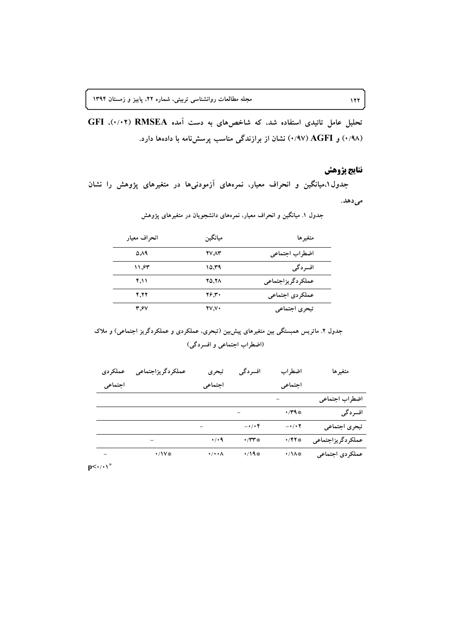تحلیل عامل تائیدی استفاده شد، که شاخصهای به دست آمده GFI (٠/٠٢). GFI (۰/۹۸) و AGFI) (۰/۹۷) نشان از برازندگی مناسب پرسشنامه با دادهها دارد.

# نتايج يژوهش

جدول ۱،میانگین و انحراف معیار، نمرههای آزمودنیها در متغیرهای پژوهش را نشان مى دهد.

| انحر اف معیار | ميانگين      | متغير ها           |
|---------------|--------------|--------------------|
| 0.19          | 27.72        | اضطراب اجتماعي     |
| ۱۱٫۶۳         | ۱۵.۳۹        | افسردگي            |
| ۴٫۱۱          | 20.78        | عملكردگر يزاجتماعي |
| 4.22          | 26.30        | عملكردي اجتماعي    |
| 3.67          | <b>27.70</b> | تبحري اجتماعي      |

جدول ۱. میانگین و انحراف معیار، نمرههای دانشجویان در متغیرهای پژوهش

جدول ۲. ماتریس همبستگی بین متغیرهای پیش بین (تبحری، عملکردی و عملکردگریز اجتماعی) و ملاک (اضطراب اجتماعي و افسردگي)

| متغيرها           | اضطراب                        | افسردگي                       | تبحري                     | عملكردگريزاجتماعي | عملكردي |
|-------------------|-------------------------------|-------------------------------|---------------------------|-------------------|---------|
|                   | اجتماعي                       |                               | اجتماعي                   |                   | اجتماعي |
| اضطراب اجتماعي    |                               |                               |                           |                   |         |
| افسردگي           | $\cdot$ / $\uparrow$ 9 $\ast$ |                               |                           |                   |         |
| تبحري اجتماعي     | $ \cdot$ / $\cdot$ $\cdot$    | $-\cdot/\cdot f$              |                           |                   |         |
| عملكردگريزاجتماعي | •/۴۲*                         | $\cdot$ / $\mathsf{r}$ $\ast$ | $\cdot$ / $\cdot$ 9       |                   |         |
| عملكردي اجتماعي   | •/\^*                         | •/19※                         | $\cdot/\cdot\cdot\Lambda$ | ·/ 1 V *          |         |

 $p<\cdot/\cdot\setminus^*$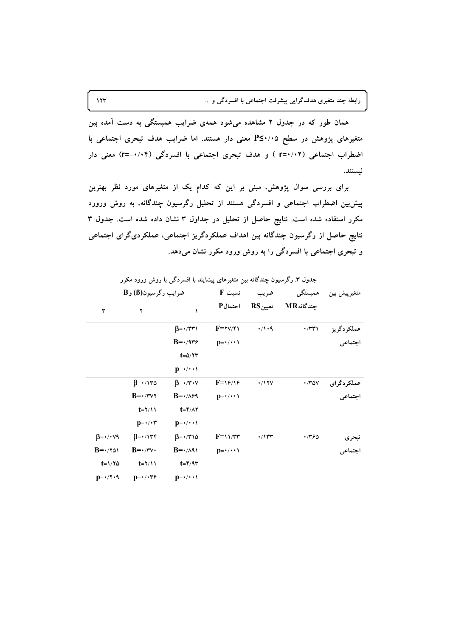همان طور که در جدول ۲ مشاهده میشود همهی ضرایب همبستگی به دست آمده بین متغیرهای پژوهش در سطح ۳۷۰٬۰۵ معنی دار هستند. اما ضرایب هدف تبحری اجتماعی با اضطراب اجتماعی (٢-/٢٠٢ ) و هدف تبحري اجتماعي با افسردگي (٢-/٠٠٢=r) معنى دار نستند.

برای بررسی سوال پژوهش، مبنی بر این که کدام یک از متغیرهای مورد نظر بهترین پیش بین اضطراب اجتماعی و افسردگی هستند از تحلیل رگرسیون چندگانه، به روش ورورد مکرر استفاده شده است. نتایج حاصل از تحلیل در جداول ۳ نشان داده شده است. جدول ۳ نتایج حاصل از رگرسیون چندگانه بین اهداف عملکردگریز اجتماعی، عملکردیگرای اجتماعی و تبحری اجتماعی با افسردگی را به روش ورود مکرر نشان میدهد.

| متغيرپيش بين | همبستگي      | ضريب         | $\mathbf F$ نسبت                | ضرایب رگرسیون(B) و B                   |                                         |                                     |  |  |
|--------------|--------------|--------------|---------------------------------|----------------------------------------|-----------------------------------------|-------------------------------------|--|--|
|              | جندگانهMR    | تعيينRS      | احتمال <sup>P</sup>             | ١                                      | ۲                                       | ٣                                   |  |  |
| عملكردگريز   | $\cdot$ /۳۳۱ | $\cdot/1.9$  | $F = \gamma \gamma / \gamma$    | $\beta = \cdot/\tau \tau$              |                                         |                                     |  |  |
| اجتماعي      |              |              | $p = \cdot / \cdot \cdot$       | $B = \cdot 4r\epsilon$                 |                                         |                                     |  |  |
|              |              |              |                                 | $t = \Delta/\Upsilon\Upsilon$          |                                         |                                     |  |  |
|              |              |              |                                 | $p = \cdot / \cdot \cdot \cdot$        |                                         |                                     |  |  |
| عملكردگرای   | $\cdot$ /۳۵۷ | $\cdot/17V$  | $F = \frac{9}{4}$               | $\beta = \cdot/\tau \cdot v$           | $\beta = \cdot / \sqrt{\tau \omega}$    |                                     |  |  |
| اجتماعي      |              |              | $p = \cdot / \cdot \cdot \cdot$ | $B = \cdot / \Lambda \ell$             | $B = \cdot$ /۳۷۲                        |                                     |  |  |
|              |              |              |                                 | $t = \frac{6}{3}$                      | $t = \frac{1}{\pi}$                     |                                     |  |  |
|              |              |              |                                 | $p = \cdot / \cdot \cdot \cdot$        | $p = \cdot / \cdot r$                   |                                     |  |  |
| تبحري        | 746ه         | $\cdot$ /۱۳۳ | $F=11/Tr$                       | $\beta = \cdot/\tau \setminus \varphi$ | $\beta = \cdot / \sqrt{r}$              | $\beta = \cdot / \cdot \vee \theta$ |  |  |
| اجتماعي      |              |              | $p = \cdot / \cdot \cdot \cdot$ | $B = \cdot / \wedge$                   | $B = \cdot/\tau \vee \cdot$             | $B = \cdot 701$                     |  |  |
|              |              |              |                                 | $t = \frac{6}{3}$                      | $t = \frac{1}{\pi}$                     | $t = \frac{1}{2}$                   |  |  |
|              |              |              |                                 | $D = \cdot / \cdot \cdot$              | $\mathbf{D} = \cdot / \cdot \mathbf{Y}$ | $D = \cdot / Y \cdot 9$             |  |  |

حدول ۳. رگرسیون حندگانه بین متغیرهای پیشابند با افسردگی با روش ورود مکرر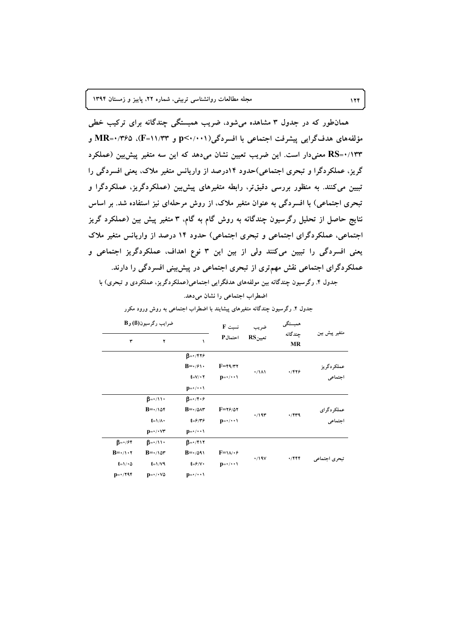همانطور که در جدول ۳ مشاهده میشود، ضریب همبستگی چندگانه برای ترکیب خطی مؤلفههای هدفگرایی پیشرفت اجتماعی با افسردگی(p<۰/۰۰۱ و MR=۰/۳۶۵ .(F=۱۱/۳۳ و RS=۱/۱۳۳ معنی دار است. این ضریب تعیین نشان میدهد که این سه متغیر پیش بین (عملکرد گریز، عملکردگرا و تبحری اجتماعی)حدود ۱۴درصد از واریانس متغیر ملاک، یعنی افسردگی را تبیین می کنند. به منظور بررسی دقیقتر، رابطه متغیرهای پیش بین (عملکردگریز، عملکردگرا و تبحری اجتماعی) با افسردگی به عنوان متغیر ملاک، از روش مرحلهای نیز استفاده شد. بر اساس نتایج حاصل از تحلیل رگرسیون چندگانه به روش گام به گام، ۳ متغیر پیش بین (عملکرد گریز اجتماعی، عملکردگرای اجتماعی و تبحری اجتماعی) حدود ۱۴ درصد از واریانس متغیر ملاک یعنی افسردگی را تبیین میکنند ولی از بین این ۳ نوع اهداف، عملکردگریز اجتماعی و عملکردگرای اجتماعی نقش مهمتری از تبحری اجتماعی در پیش بینی افسردگی را دارند. جدول ۴. رگرسیون چندگانه بین مولفههای هدفگرایی اجتماعی(عملکردگریز، عملکردی و تبحری) با

اضطراب اجتماعی را نشان می دهد.

|                       | همبستگي<br>۔<br>جندگانه | ضريب                   | $F \nightharpoonup$ نسبت              | ضرايب رگرسيون(B) و B                     |                               |                                 |   |
|-----------------------|-------------------------|------------------------|---------------------------------------|------------------------------------------|-------------------------------|---------------------------------|---|
| متغیر پیش بین         | <b>MR</b>               | $RS_{i}$ تعیین         | احتمال P                              |                                          | ١                             | ۲                               | ٣ |
|                       |                         |                        |                                       | $\beta = \cdot$ /۴۲۶                     |                               |                                 |   |
|                       | 4/999                   | $\cdot/\lambda\lambda$ |                                       | $F = \frac{F - \gamma}{T}$               | $B = \cdot$ / $\gamma \cdot$  |                                 |   |
| عملکردگریز<br>اجتماعی |                         |                        |                                       |                                          |                               | $t = V / \cdot Y$               |   |
|                       |                         |                        |                                       | $p=\cdot/\cdot\cdot\$                    |                               |                                 |   |
|                       |                         |                        |                                       | $\beta = \cdot / \hat{r} \cdot \hat{r}$  | $\beta = \cdot / \cdot \cdot$ |                                 |   |
|                       | $\cdot$ /۴۳۹            |                        | $F = \gamma \epsilon / \delta \gamma$ | $B = \cdot / \triangle \wedge \tau$      | $B = \cdot / \sqrt{5}$        |                                 |   |
| عملکردگرای<br>اجتماعی |                         | $\cdot$ /19٣           | $p = \cdot / \cdot \cdot \cdot$       | $t = \frac{\epsilon}{\gamma + \epsilon}$ | $t = \frac{\lambda}{\lambda}$ |                                 |   |
|                       |                         |                        |                                       | $p = \cdot / \cdot \cdot \cdot$          | $p = \cdot / \cdot \vee \tau$ |                                 |   |
|                       |                         |                        |                                       | $\beta = \cdot$ /۴۱۲                     | $B = \cdot / \cdot \cdot$     | $\beta = \cdot / \mathcal{F}$   |   |
|                       |                         |                        | $F = \sqrt{\sqrt{6}}$                 | $B = \cdot / \Delta 91$                  | $B = \cdot / \sqrt{2r}$       | $B = \cdot / \cdot \cdot \cdot$ |   |
| تبحري اجتماعي         | $\cdot$ /۴۴۴            | $\cdot$ /19 $V$        | $p = \cdot / \cdot \cdot \cdot$       | $t = \frac{\epsilon}{\sqrt{2}}$          | $t = \frac{1}{\sqrt{9}}$      | $t = \frac{1}{2}$               |   |
|                       |                         |                        |                                       | $D = \cdot / \cdot \cdot$                | $D = \cdot / \cdot \sqrt{0}$  | $D=*/797$                       |   |

جدول ۴. رگرسیون چندگانه متغیرهای پیشایند با اضطراب اجتماعی به روش ورود مکرر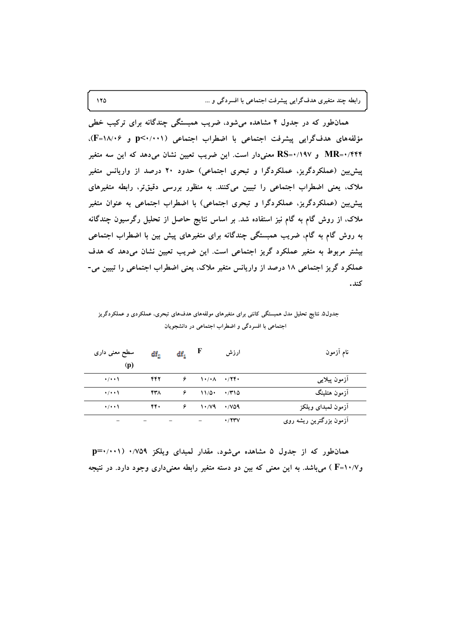رابطه چند متغیری هدفگرایی پیشرفت اجتماعی با افسردگی و …

همانطور که در جدول ۴ مشاهده میشود، ضریب همبستگی چندگانه برای ترکیب خطی مؤلفههای هدف گرایی پیشرفت اجتماعی با اضطراب اجتماعی (p<۰/۰۰۱ و ۱۸/۰۶})، MR=۰/۴۴۴ و RS=۰/۱۹۷ معنیدار است. این ضریب تعیین نشان میدهد که این سه متغیر پیش بین (عملکردگریز، عملکردگرا و تبحری اجتماعی) حدود ۲۰ درصد از واریانس متغیر ملاک، یعنی اضطراب اجتماعی را تبیین میکنند. به منظور بررسی دقیقتر، رابطه متغیرهای پیش بین (عملکردگریز، عملکردگرا و تبحری اجتماعی) با اضطراب اجتماعی به عنوان متغیر ملاک، از روش گام به گام نیز استفاده شد. بر اساس نتایج حاصل از تحلیل رگرسیون چندگانه به روش گام به گام، ضریب همبستگی چندگانه برای متغیرهای پیش بین با اضطراب اجتماعی بیشتر مربوط به متغیر عملکرد گریز اجتماعی است. این ضریب تعیین نشان میدهد که هدف عملکرد گریز اجتماعی ۱۸ درصد از واریانس متغیر ملاک، یعنی اضطراب اجتماعی را تبیین می-كند.

جدول۵. نتایج تحلیل مدل همبستگی کاننی برای متغیرهای مولفههای هدفهای تبحری، عملکردی و عملکردگریز اجتماعی با افسردگی و اضطراب اجتماعی در دانشجویان

| نام آزمون               | ارزش         | F                                                        | $df_1$ | $\mathrm{df}_2$ | سطح معنی داری<br>(p) |  |
|-------------------------|--------------|----------------------------------------------------------|--------|-----------------|----------------------|--|
| آزمون پیلایبی           |              | $\lambda \cdot / \cdot \lambda \rightarrow / \mathbf{Y}$ | ۶      | 442             | $\cdot$ / $\cdot$    |  |
| آزمون هتلينگ            | $\cdot$ /۳۱۵ | 11/0                                                     | ۶      | ۴۳۸             | $\cdot$ / $\cdot$    |  |
| أزمون لمبداى ويلكز      |              | 1.74.709                                                 | ۶      | ۴۴.             | $\cdot$ / $\cdot$    |  |
| آزمون بزرگترین ریشه روی | $\cdot$ /۲۳۷ |                                                          |        |                 |                      |  |

همان طور که از جدول ۵ مشاهده می شود، مقدار لمبدای ویلکز ۰/۷۵۹ (۰۰۱۱+p=۰ وF=۱۰/۷ ) میباشد. به این معنی که بین دو دسته متغیر رابطه معنیداری وجود دارد. در نتیجه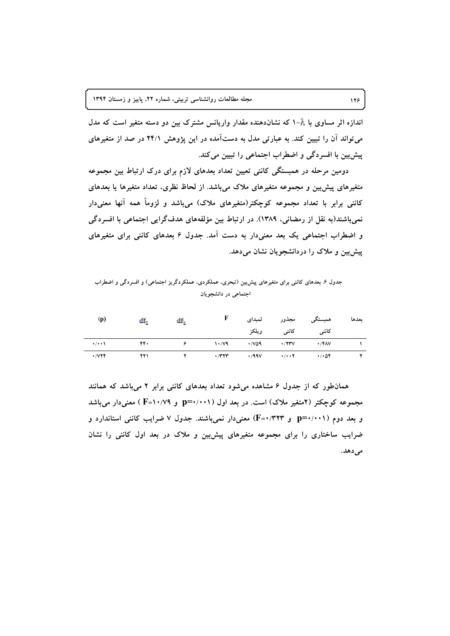اندازه اثر مساوی با ۸-۱ که نشاندهنده مقدار واریانس مشترک بین دو دسته متغیر است که مدل می تواند آن را تبیین کند. به عبارتی مدل به دستآمده در این پژوهش ۲۴/۱ در صد از متغیرهای پیشبین با افسردگی و اضطراب اجتماعی را تبیین می کند.

دومین مرحله در همبستگی کاننی تعیین تعداد بعدهای لازم برای درک ارتباط بین مجموعه متغیرهای پیش بین و مجموعه متغیرهای ملاک می باشد. از لحاظ نظری، تعداد متغیرها یا بعدهای کاننی برابر با تعداد مجموعه کوچکتر(متغیرهای ملاک) میباشد و لزوماً همه آنها معنیدار نمی باشند(به نقل از رمضانی، ۱۳۸۹). در ارتباط بین مؤلفههای هدفگرایی اجتماعی با افسردگی و اضطراب اجتماعی یک بعد معنیدار به دست آمد. جدول ۶ بعدهای کاننی برای متغیرهای پیش بین و ملاک را دردانشجویان نشان میدهد.

جدول ۶. بعدهای کاننی برای متغیرهای پیشبین (تبحری، عملکردی، عملکردگریز اجتماعی) و افسردگی و اضطراب اجتماعی در دانشجویان

| (p)       | df. | df, |                                                                                                             | مجذور لمبداي      | همبستگی      | ىعدها |
|-----------|-----|-----|-------------------------------------------------------------------------------------------------------------|-------------------|--------------|-------|
|           |     |     |                                                                                                             | کاننی کاننی ویلکز |              |       |
|           | ۴۴۰ |     |                                                                                                             |                   | $\cdot$ /۴۸۷ |       |
| . / V 7 4 | 771 |     | $\gamma$ , $\gamma$ , $\gamma$ , $\gamma$ , $\gamma$ , $\gamma$ , $\gamma$ , $\gamma$ , $\gamma$ , $\gamma$ |                   |              |       |

همانطور که از جدول ۶ مشاهده می شود تعداد بعدهای کاننی برابر ۲ میباشد که همانند مجموعه کوچکتر (۲متغیر ملاک) است. در بعد اول (۱۰۰۱+p=۰٫۰۰۱ و ۱۰/۷۹=F ) معنی دار می باشد و بعد دوم (p=۰/۰۰۱ و ۳۲۳/۰۴) معنی دار نمی باشند. جدول ۷ ضرایب کاننی استاندارد و ضرایب ساختاری را برای مجموعه متغیرهای پیش بین و ملاک در بعد اول کاننی را نشان مے ردھد.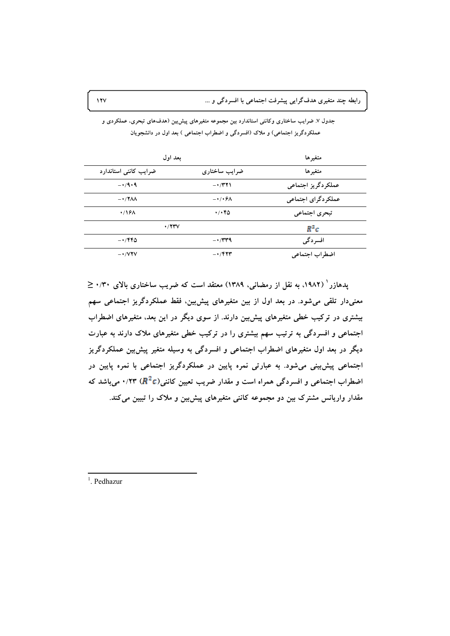| بعد اول                  | متغير ها                          |                    |
|--------------------------|-----------------------------------|--------------------|
| ضرایب کاننی استاندارد    | ضرایب ساختاری                     | متغيرها            |
| $-1.4.9$                 | $ \cdot$ /۳۲۱                     | عملكردگريز اجتماعي |
| $-17\lambda\lambda$      | $-\cdot/\cdot\theta\Lambda$       | عملكردگراي اجتماعي |
| $\cdot$ /16 $\Lambda$    | $\cdot$ / $\cdot$ $\cdot$ $\circ$ | تبحري اجتماعي      |
| $\cdot$ /۲۳ $V$          |                                   | $R^2c$             |
| $-1480$                  | $-1/\tau\tau$ ۹                   | افسر دگی           |
| $ \cdot$ / $\vee$ $\vee$ | $ \cdot$ / $\uparrow$ $\uparrow$  | اضطراب اجتماعي     |

جدول ۷. ضرایب ساختاری وکاننی استاندارد بین مجموعه متغیرهای پیشبین (هدفهای تبحری، عملکردی و عملکردگریز اجتماعی) و ملاک (افسردگی و اضطراب اجتماعی ) بعد اول در دانشجویان

یدهازر ( ۱۹۸۲). به نقل از رمضانی، ۱۳۸۹) معتقد است که ضریب ساختاری بالای ۰/۳۰  $\leq$ معنیدار تلقی می شود. در بعد اول از بین متغیرهای پیش بین، فقط عملکردگریز اجتماعی سهم بیشتری در ترکیب خطی متغیرهای پیش بین دارند. از سوی دیگر در این بعد، متغیرهای اضطراب اجتماعی و افسردگی به ترتیب سهم بیشتری را در ترکیب خطی متغیرهای ملاک دارند به عبارت دیگر در بعد اول متغیرهای اضطراب اجتماعی و افسردگی به وسیله متغیر پیش بین عملکردگریز اجتماعی پیش بینی می شود. به عبارتی نمره پایین در عملکردگریز اجتماعی با نمره پایین در اضطراب اجتماعی و افسردگی همراه است و مقدار ضریب تعیین کاننی(R ٔ C) ۰/۲۳ میباشد که مقدار واریانس مشترک بین دو مجموعه کاننی متغیرهای پیش بین و ملاک را تبیین می کند.

 $1$ . Pedhazur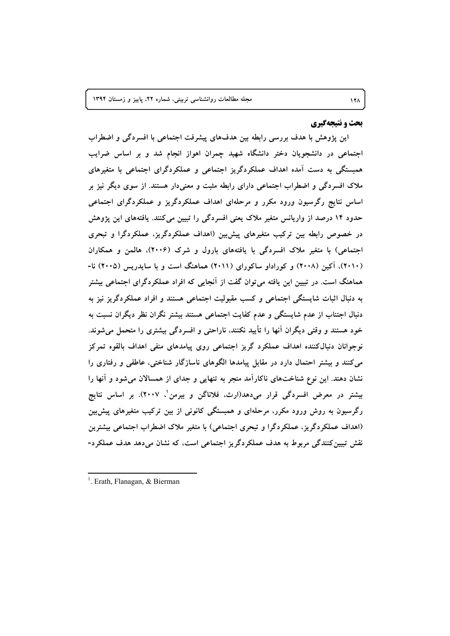#### بحث و نتیجهگیری

این پژوهش با هدف بررسی رابطه بین هدفهای پیشرفت اجتماعی با افسردگی و اضطراب اجتماعی در دانشجویان دختر دانشگاه شهید چمران اهواز انجام شد و بر اساس ضرایب همبستگی به دست آمده اهداف عملکردگریز اجتماعی و عملکردگرای اجتماعی با متغیرهای ملاک افسردگی و اضطراب اجتماعی دارای رابطه مثبت و معنیدار هستند. از سوی دیگر نیز بر اساس نتایج رگرسیون ورود مکرر و مرحلهای اهداف عملکردگریز و عملکردگرای اجتماعی حدود ۱۴ درصد از واریانس متغیر ملاک یعنی افسردگی را تبیین می کنند. یافتههای این پژوهش در خصوص رابطه بین ترکیب متغیرهای پیش بین (اهداف عملکردگریز، عملکردگرا و تبحری اجتماعی) با متغیر ملاک افسردگی با یافتههای بارول و شرک (۲۰۰۶)، هالمن و همکاران (۲۰۱۰)، آکین (۲۰۰۸) و کوراداو ساکورای (۲۰۱۱) هماهنگ است و با سایدریس (۲۰۰۵) نا-هماهنگ است. در تبیین این یافته می توان گفت از آنجایی که افراد عملکردگرای اجتماعی بیشتر به دنبال اثبات شایستگی اجتماعی و کسب مقبولیت اجتماعی هستند و افراد عملکردگریز نیز به دنبال اجتناب از عدم شایستگی و عدم کفایت اجتماعی هستند بیشتر نگران نظر دیگران نسبت به خود هستند و وقتی دیگران آنها را تأیید نکنند، ناراحتی و افسردگی بیشتری را متحمل میشوند. نوجوانان دنبال کننده اهداف عملکرد گریز اجتماعی روی پیامدهای منفی اهداف بالقوه تمرکز می کنند و بیشتر احتمال دارد در مقابل پیامدها الگوهای ناسازگار شناختی، عاطفی و رفتاری را نشان دهند. این نوع شناختهای ناکارآمد منجر به تنهایی و جدای از همسالان میشود و آنها را بیشتر در معرض افسردگی قرار میدهد(ارث، فلاناگن و بیرمن ٰ، ۲۰۰۷). بر اساس نتایج رگرسیون به روش ورود مکرر، مرحلهای و همبستگی کانونی از بین ترکیب متغیرهای پیش بین (اهداف عملکردگریز، عملکردگرا و تبحری اجتماعی) با متغیر ملاک اضطراب اجتماعی بیشترین نقش تبیین کنندگی مربوط به هدف عملکردگریز اجتماعی است، که نشان میدهد هدف عملکرد-

<sup>&</sup>lt;sup>1</sup>. Erath, Flanagan, & Bierman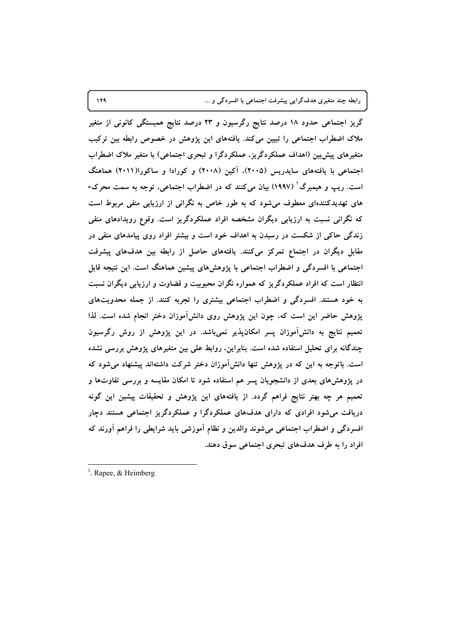رابطه چند متغیری هدفگرایی پیشرفت اجتماعی با افسردگی و ...

گریز اجتماعی حدود ۱۸ درصد نتایج رگرسیون و ۲۳ درصد نتایج همبستگی کانونی از متغیر ملاک اضطراب اجتماعی را تبیین میکند. یافتههای این پژوهش در خصوص رابطه بین ترکیب متغیرهای پیش بین (اهداف عملکردگریز، عملکردگرا و تبحری اجتماعی) با متغیر ملاک اضطراب اجتماعی با یافتههای سایدریس (۲۰۰۵)، آکین (۲۰۰۸) و کورادا و ساکورا(۲۰۱۱) هماهنگ است. ریپ و هیمبرگ' (۱۹۹۷) بیان میکنند که در اضطراب اجتماعی، توجه به سمت محرک-های تهدیدکنندهای معطوف میشود که به طور خاص به نگرانی از ارزیابی منفی مربوط است که نگرانی نسبت به ارزیابی دیگران مشخصه افراد عملکردگریز است. وقوع رویدادهای منفی زندگی حاکی از شکست در رسیدن به اهداف خود است و بیشتر افراد روی پیامدهای منفی در مقابل دیگران در اجتماع تمرکز میکنند. یافتههای حاصل از رابطه بین هدفهای پیشرفت اجتماعی با افسردگی و اضطراب اجتماعی با پژوهشهای پیشین هماهنگ است. این نتیجه قابل انتظار است که افراد عملکردگریز که همواره نگران محبوبیت و قضاوت و ارزیابی دیگران نسبت به خود هستند. افسردگی و اضطراب اجتماعی بیشتری را تجربه کنند. از جمله محدویتهای پژوهش حاضر این است که، چون این پژوهش روی دانشآموزان دختر انجام شده است. لذا تعمیم نتایج به دانشآموزان پسر امکانپذیر نمیباشد. در این پژوهش از روش رگرسیون چندگانه برای تحلیل استفاده شده است. بنابراین، روابط علی بین متغیرهای پژوهش بررسی نشده است. باتوجه به این که در پژوهش تنها دانشآموزان دختر شرکت داشتهاند پیشنهاد میشود که در پژوهشهای بعدی از دانشجویان پسر هم استفاده شود تا امکان مقایسه و بررسی تفاوتها و تعمیم هر چه بهتر نتایج فراهم گردد. از یافتههای این پژوهش و تحقیقات پیشین این گونه دریافت می شود افرادی که دارای هدفهای عملکردگرا و عملکردگریز اجتماعی هستند دچار افسردگی و اضطراب اجتماعی میشوند والدین و نظام آموزشی باید شرایطی را فراهم آورند که افراد را به طرف هدفهای تبحری اجتماعی سوق دهند.

<sup>&</sup>lt;sup>1</sup>. Rapee, & Heimberg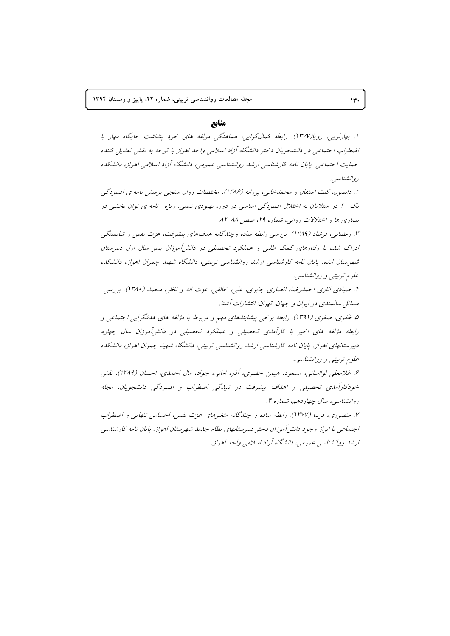## مناىع

۱. بهارلویی، روپا(۱۳۷۷). رابطه کمالگرایی، هماهنگی مولفه های خود پنداشت جایگاه مهار با اضطراب اجتماعی در دانشجویان دختر دانشگاه آزاد اسلامی واحد اهواز با توجه به نقش تعدیل کننده حمایت اجتماعی. پایان نامه کارشناسی ارشد روانشناسی عمومی، دانشگاه آزاد اسلامی اهواز، دانشکده د وانشناسیه .

۲. دابسون، کیت استفان و محمدخانی، پروانه (۱۳۸۶). مختصات روان سنجی پرسش نامه ی افسردگی بک- ۲ در مبتلایان به اختلال افسردگی اساسی در دوره بهبودی نسبی. ویژه- نامه ی توان بخشی در بيماري ها و اختلالات رواني، شماره ٢٩، صص ٨٨-٨٢.

۳. رمضانی، فرشاد (۱۳۸۹). بررسی رابطه ساده وچندگانه هدفهای پیشرفت، عزت نفس و شایستگی ادراک شده با رفتارهای کمک طلبی و عملکرد تحصیلی در دانش آموزان پسر سال اول دبیرستان شهرستان ایذه. پایان نامه کارشناسی ارشد روانشناسی تربیتی، دانشگاه شهید چمران اهواز، دانشکده علوم تربینی و روانشناسی.

۴. صیادی اناری احمدرضا، انصاری جابری، علی، خالقی، عزت اله و ناظر، محمد (۱۳۸۰). بررسی مسائل سالمندی در ایران و جهان. تهران: انتشارات آشنا.

۵. ظفری، صغری (۱۳۹۱). رابطه برخی پیشایندهای مهم و مربوط با مؤلفه های هدفگرایی اجتماعی و رابطه مؤلفه های اخیر با کارآمدی تحصیلی و عملکرد تحصیلی در دانش آموزان سال چهارم دبیرستانهای اهواز. پایان نامه کارشناسی ارشد روانشناسی تربیتی، دانشگاه شهید چمران اهواز، دانشکده علوم تربیتی و روانشناسی.

۶. غلامعلی لوااسانی، مسعود، هیمن خضری، آذر، امانی، جواد، مال احمدی، احسان (۱۳۸۹). نقش خودکارآمای تحصیلی و اهالف پیشرفت در تنیاگی اضطراب و افسردگی دانشجویان. مجله روانشناسي، سال چهاردهم، شماره ۴.

۷. منصوری، فریبا (۱۳۷۷). رابطه ساده و چندگانه متغیرهای عزت نفس، احساس تنهایی و اضطراب اجتماعی با ابراز وجود دانش آموزان دختر دبیرستانهای نظام جدید شهرستان اهواز. پایان نامه کارشناسی ارشد روانشناسی عمومی، دانشگاه آزاد اسلامی واحد اهواز .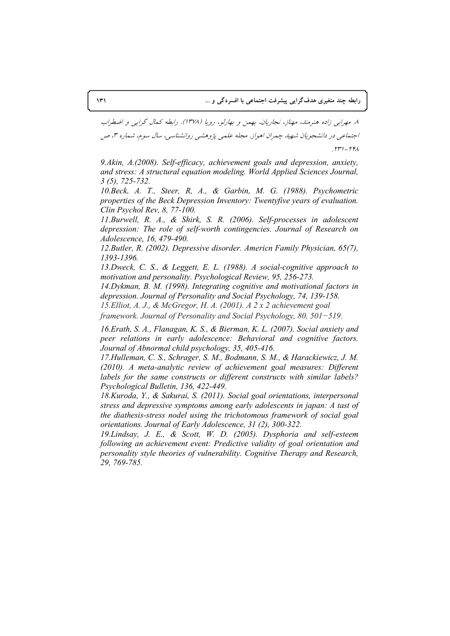٨. مهرايي زاده هنرمند، مهناز، نجاريان، بهمن و بهارلو، رويا (١٣٧٨). رابطه كمال گرايي و اضطراب اجتماعی در دانشجویان شهید چمران اهواز. مجله علمی پژوهشی روانشناسی، سال سوم، شماره ۳، ص  $\mathbf{r} = \mathbf{r} + \mathbf{r}$ 

9.Akin, A.(2008). Self-efficacy, achievement goals and depression, anxiety, and stress: A structural equation modeling. World Applied Sciences Journal,  $3(5)$ , 725-732.

10. Beck, A. T., Steer, R, A., & Garbin, M. G. (1988). Psychometric properties of the Beck Depression Inventory: Twentyfive years of evaluation. Clin Psychol Rev, 8, 77-100.

11. Burwell, R. A., & Shirk, S. R. (2006). Self-processes in adolescent depression: The role of self-worth contingencies. Journal of Research on Adolescence, 16, 479-490.

12. Butler, R. (2002). Depressive disorder. Americn Family Physician, 65(7). 1393-1396.

13. Dweck, C. S., & Leggett, E. L. (1988). A social-cognitive approach to motivation and personality. Psychological Review, 95, 256-273.

14. Dykman, B. M. (1998). Integrating cognitive and motivational factors in depression. Journal of Personality and Social Psychology, 74, 139-158.

15. Elliot, A. J., & McGregor, H. A. (2001). A 2 x 2 achievement goal

framework. Journal of Personality and Social Psychology, 80,  $501 - 519$ .

16. Erath, S. A., Flanagan, K. S., & Bierman, K. L. (2007). Social anxiety and peer relations in early adolescence: Behavioral and cognitive factors. Journal of Abnormal child psychology, 35, 405-416.

17. Hulleman, C. S., Schrager, S. M., Bodmann, S. M., & Harackiewicz, J. M. (2010). A meta-analytic review of achievement goal measures: Different labels for the same constructs or different constructs with similar labels? Psychological Bulletin, 136, 422-449.

18. Kuroda, Y., & Sakurai, S. (2011). Social goal orientations, interpersonal stress and depressive symptoms among early adolescents in japan: A tast of the diathesis-stress nodel using the trichotomous framework of social goal orientations. Journal of Early Adolescence, 31 (2), 300-322.

19. Lindsay, J. E., & Scott, W. D. (2005). Dysphoria and self-esteem following an achievement event: Predictive validity of goal orientation and personality style theories of vulnerability. Cognitive Therapy and Research, 29, 769-785.

 $\mathcal{N}$